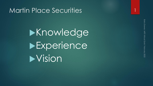#### Martin Place Securities

**>Knowledge Experience >Vision**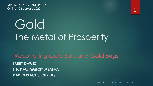VIRTUAL GOLD CONFERENCE Online 10 February 2022 2

# Gold The Metal of Prosperity

Reconciling Gold Bulls and Gold Bugs **BARRY DAWES B S<sup>C</sup> F AUSIMM(CP) MSAFAA MARTIN PLACE SECURITIES**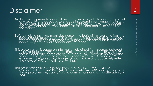### Disclaimer 3

Nothing in this presentation shall be construed as a solicitation to buy or sell<br>any security or product, or to engage in or refrain from engaging in any<br>fransaction. In preparing this research, MPS did not take into accou

Before making an investment decision on the basis of this presentation, the reader needs to consider, with or without the assistance of an adviser, whether the advice is appropriate in light of their particular investment

This presentation is based on information obtained from sources believed<br>to be reliable but MPS does not make any representation or warranty<br>that it is accurate, complete or up to date. MPS accepts no obligation<br>to correct

This presentation has originated from MPS (ABN 95 159 611 040), a Corporate Authorised Rep (AFS Licence 247 767). MPS can gain income through brokerage, capital raising commissions and corporate advisory fees.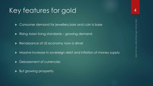### Key features for gold 44

▶ Consumer demand for jewellery, bars and coin is base

- Rising Asian living standards growing demand
- Renaissance of US economy now a driver
- $\blacktriangleright$  Massive increase in sovereign debt and inflation of money supply
- Debasement of currencies
- But growing prosperity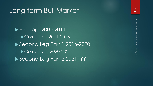#### Long term Bull Market

**First Leg 2000-2011** Correction 2011-2016 ▶ Second Leg Part 1 2016-2020 ▶ Correction 2020-2021 Second Leg Part 2 2021 - ??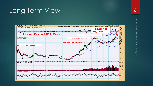### Long Term View 6

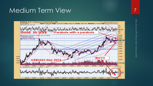#### Medium Term View 7

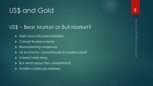## US\$ and Gold

#### US\$ - Bear Market or Bull Market?

- ▶ Debt and unfunded liabilities
- Corrupt bureaucracies
- Reawakening underway
- ▶ US economy powerhouse or basket case?
- $\blacktriangleright$  Interest rates rising
- But what about the competition?
- **Smaller currencies stressed**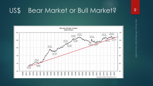#### US\$ Bear Market or Bull Market?

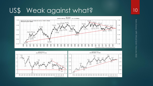### US\$ Weak against what?





Barry Dawes MPS Virtual Gold February 2022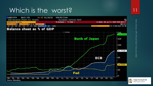### Which is the worst?



**Holger Zschaepitz** @Schuldensuehner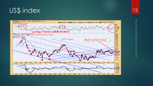### US\$ index

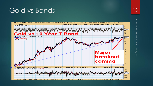### Gold vs Bonds 13



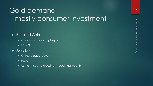# Gold demand mostly consumer investment

#### ▶ Bars and Coin

- $\blacktriangleright$  China and India key buyers
- $\triangleright$  US # 3

#### **>** Jewellery

- **China biggest buyer**
- $\blacktriangleright$  India
- ▶ US now #3 and growing regaining wealth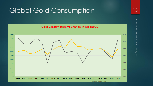#### Global Gold Consumption 15

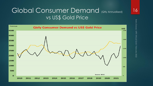#### Global Consumer Demand (Qtly Annualised) vs US\$ Gold Price



Barry Dawes MPS Virtual Gold February 2022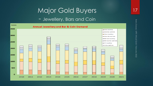#### Major Gold Buyers

#### - Jewellery, Bars and Coin

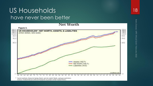#### US Households have never been better



Barry Dawes MPS Virtual Gold February 2022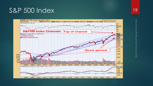#### S&P 500 Index 19

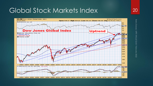### Global Stock Markets Index 20



Barry Dawes MPS Virtual Gold February 2022